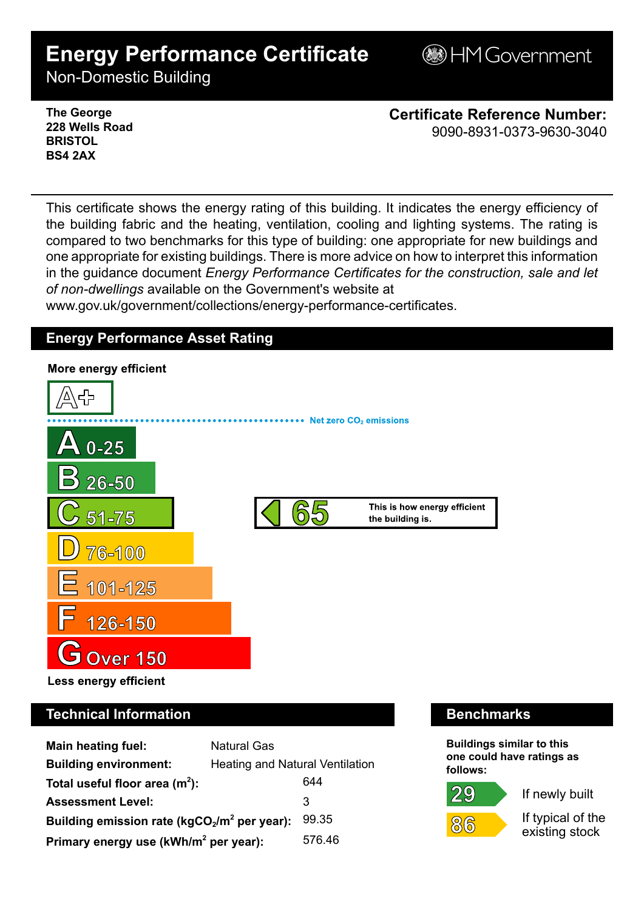# **Energy Performance Certificate**

**BHM Government** 

Non-Domestic Building

**The George 228 Wells Road BRISTOL BS4 2AX**

**Certificate Reference Number:** 9090-8931-0373-9630-3040

This certificate shows the energy rating of this building. It indicates the energy efficiency of the building fabric and the heating, ventilation, cooling and lighting systems. The rating is compared to two benchmarks for this type of building: one appropriate for new buildings and one appropriate for existing buildings. There is more advice on how to interpret this information in the guidance document *Energy Performance Certificates for the construction, sale and let of non-dwellings* available on the Government's website at

www.gov.uk/government/collections/energy-performance-certificates.

# **Energy Performance Asset Rating**



# **Technical Information Benchmarks**

| <b>Main heating fuel:</b>                         | <b>Natural Gas</b>                     |        |  |
|---------------------------------------------------|----------------------------------------|--------|--|
| <b>Building environment:</b>                      | <b>Heating and Natural Ventilation</b> |        |  |
| Total useful floor area $(m2)$ :                  |                                        | 644    |  |
| <b>Assessment Level:</b>                          |                                        | 3      |  |
| Building emission rate ( $kgCO2/m2$ per year):    |                                        | 99.35  |  |
| Primary energy use (kWh/m <sup>2</sup> per year): |                                        | 576.46 |  |

**Buildings similar to this one could have ratings as follows:**



 $86$ 



If typical of the existing stock